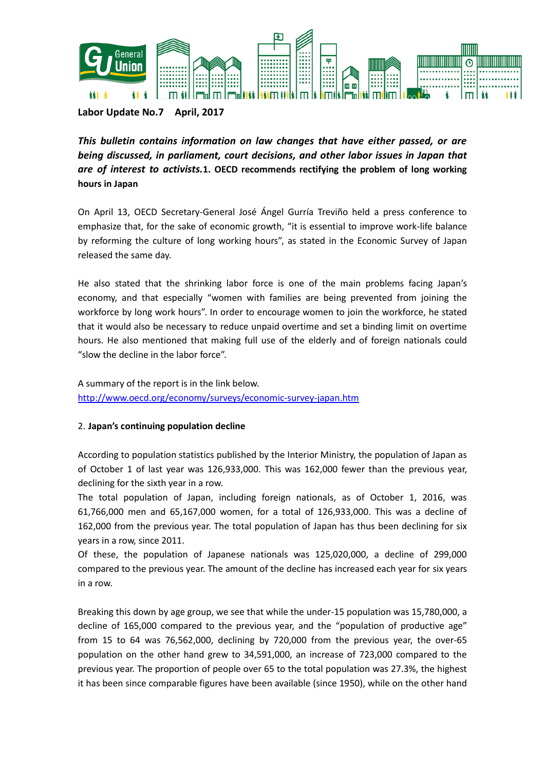

**Labor Update No.7 April, 2017**

*This bulletin contains information on law changes that have either passed, or are being discussed, in parliament, court decisions, and other labor issues in Japan that are of interest to activists.***1. OECD recommends rectifying the problem of long working hours in Japan**

On April 13, OECD Secretary-General José Ángel Gurría Treviño held a press conference to emphasize that, for the sake of economic growth, "it is essential to improve work-life balance by reforming the culture of long working hours", as stated in the Economic Survey of Japan released the same day.

He also stated that the shrinking labor force is one of the main problems facing Japan's economy, and that especially "women with families are being prevented from joining the workforce by long work hours". In order to encourage women to join the workforce, he stated that it would also be necessary to reduce unpaid overtime and set a binding limit on overtime hours. He also mentioned that making full use of the elderly and of foreign nationals could "slow the decline in the labor force".

A summary of the report is in the link below. <http://www.oecd.org/economy/surveys/economic-survey-japan.htm>

## 2. **Japan's continuing population decline**

According to population statistics published by the Interior Ministry, the population of Japan as of October 1 of last year was 126,933,000. This was 162,000 fewer than the previous year, declining for the sixth year in a row.

The total population of Japan, including foreign nationals, as of October 1, 2016, was 61,766,000 men and 65,167,000 women, for a total of 126,933,000. This was a decline of 162,000 from the previous year. The total population of Japan has thus been declining for six years in a row, since 2011.

Of these, the population of Japanese nationals was 125,020,000, a decline of 299,000 compared to the previous year. The amount of the decline has increased each year for six years in a row.

Breaking this down by age group, we see that while the under-15 population was 15,780,000, a decline of 165,000 compared to the previous year, and the "population of productive age" from 15 to 64 was 76,562,000, declining by 720,000 from the previous year, the over-65 population on the other hand grew to 34,591,000, an increase of 723,000 compared to the previous year. The proportion of people over 65 to the total population was 27.3%, the highest it has been since comparable figures have been available (since 1950), while on the other hand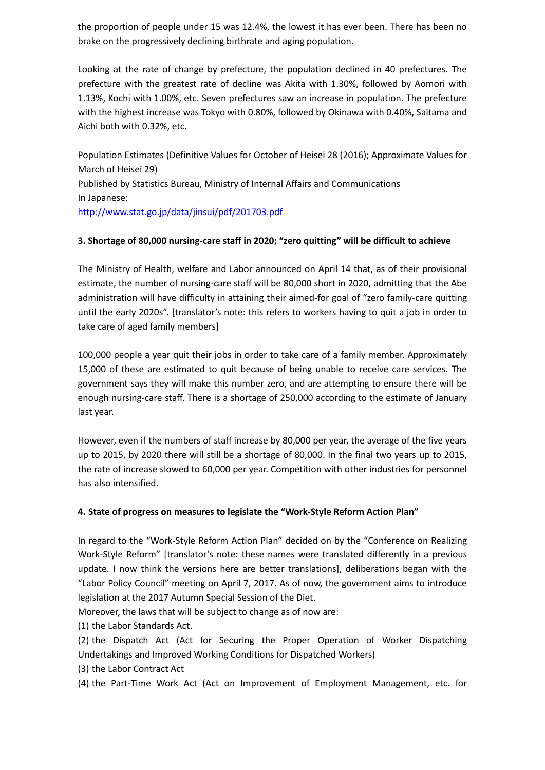the proportion of people under 15 was 12.4%, the lowest it has ever been. There has been no brake on the progressively declining birthrate and aging population.

Looking at the rate of change by prefecture, the population declined in 40 prefectures. The prefecture with the greatest rate of decline was Akita with 1.30%, followed by Aomori with 1.13%, Kochi with 1.00%, etc. Seven prefectures saw an increase in population. The prefecture with the highest increase was Tokyo with 0.80%, followed by Okinawa with 0.40%, Saitama and Aichi both with 0.32%, etc.

Population Estimates (Definitive Values for October of Heisei 28 (2016); Approximate Values for March of Heisei 29) Published by Statistics Bureau, Ministry of Internal Affairs and Communications In Japanese: <http://www.stat.go.jp/data/jinsui/pdf/201703.pdf>

## **3. Shortage of 80,000 nursing-care staff in 2020; "zero quitting" will be difficult to achieve**

The Ministry of Health, welfare and Labor announced on April 14 that, as of their provisional estimate, the number of nursing-care staff will be 80,000 short in 2020, admitting that the Abe administration will have difficulty in attaining their aimed-for goal of "zero family-care quitting until the early 2020s". [translator's note: this refers to workers having to quit a job in order to take care of aged family members]

100,000 people a year quit their jobs in order to take care of a family member. Approximately 15,000 of these are estimated to quit because of being unable to receive care services. The government says they will make this number zero, and are attempting to ensure there will be enough nursing-care staff. There is a shortage of 250,000 according to the estimate of January last year.

However, even if the numbers of staff increase by 80,000 per year, the average of the five years up to 2015, by 2020 there will still be a shortage of 80,000. In the final two years up to 2015, the rate of increase slowed to 60,000 per year. Competition with other industries for personnel has also intensified.

## **4. State of progress on measures to legislate the "Work-Style Reform Action Plan"**

In regard to the "Work-Style Reform Action Plan" decided on by the "Conference on Realizing Work-Style Reform" [translator's note: these names were translated differently in a previous update. I now think the versions here are better translations], deliberations began with the "Labor Policy Council" meeting on April 7, 2017. As of now, the government aims to introduce legislation at the 2017 Autumn Special Session of the Diet.

Moreover, the laws that will be subject to change as of now are:

(1) the Labor Standards Act.

(2) the Dispatch Act (Act for Securing the Proper Operation of Worker Dispatching Undertakings and Improved Working Conditions for Dispatched Workers)

(3) the Labor Contract Act

(4) the Part-Time Work Act (Act on Improvement of Employment Management, etc. for